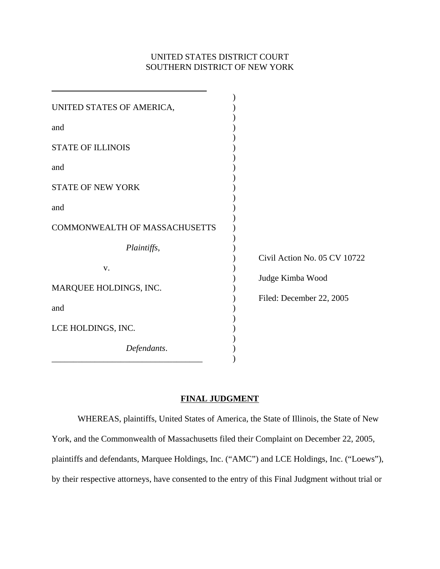# UNITED STATES DISTRICT COURT SOUTHERN DISTRICT OF NEW YORK

| Civil Action No. 05 CV 10722 |
|------------------------------|
|                              |
| Judge Kimba Wood             |
|                              |
| Filed: December 22, 2005     |
|                              |
|                              |
|                              |

### **FINAL JUDGMENT**

WHEREAS, plaintiffs, United States of America, the State of Illinois, the State of New York, and the Commonwealth of Massachusetts filed their Complaint on December 22, 2005, plaintiffs and defendants, Marquee Holdings, Inc. ("AMC") and LCE Holdings, Inc. ("Loews"), by their respective attorneys, have consented to the entry of this Final Judgment without trial or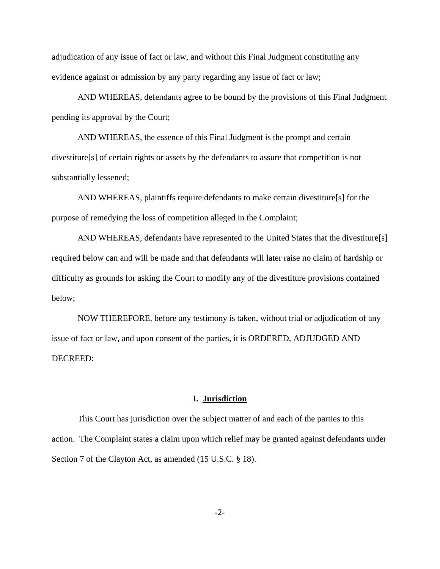adjudication of any issue of fact or law, and without this Final Judgment constituting any evidence against or admission by any party regarding any issue of fact or law;

AND WHEREAS, defendants agree to be bound by the provisions of this Final Judgment pending its approval by the Court;

AND WHEREAS, the essence of this Final Judgment is the prompt and certain divestiture[s] of certain rights or assets by the defendants to assure that competition is not substantially lessened;

AND WHEREAS, plaintiffs require defendants to make certain divestiture[s] for the purpose of remedying the loss of competition alleged in the Complaint;

AND WHEREAS, defendants have represented to the United States that the divestiture[s] required below can and will be made and that defendants will later raise no claim of hardship or difficulty as grounds for asking the Court to modify any of the divestiture provisions contained below;

NOW THEREFORE, before any testimony is taken, without trial or adjudication of any issue of fact or law, and upon consent of the parties, it is ORDERED, ADJUDGED AND DECREED:

## **I. Jurisdiction**

This Court has jurisdiction over the subject matter of and each of the parties to this action. The Complaint states a claim upon which relief may be granted against defendants under Section 7 of the Clayton Act, as amended (15 U.S.C. § 18).

-2-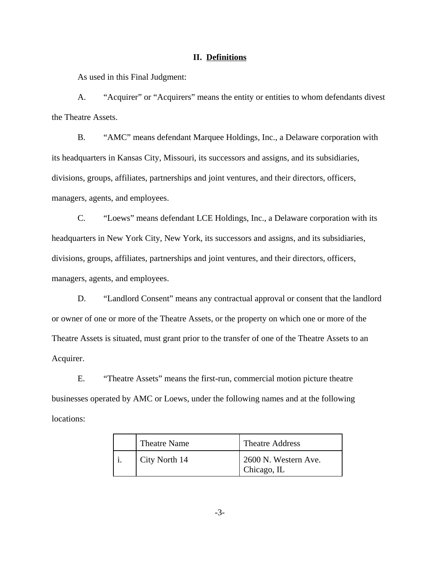#### **II. Definitions**

As used in this Final Judgment:

A. "Acquirer" or "Acquirers" means the entity or entities to whom defendants divest the Theatre Assets.

B. "AMC" means defendant Marquee Holdings, Inc., a Delaware corporation with its headquarters in Kansas City, Missouri, its successors and assigns, and its subsidiaries, divisions, groups, affiliates, partnerships and joint ventures, and their directors, officers, managers, agents, and employees.

C. "Loews" means defendant LCE Holdings, Inc., a Delaware corporation with its headquarters in New York City, New York, its successors and assigns, and its subsidiaries, divisions, groups, affiliates, partnerships and joint ventures, and their directors, officers, managers, agents, and employees.

D. "Landlord Consent" means any contractual approval or consent that the landlord or owner of one or more of the Theatre Assets, or the property on which one or more of the Theatre Assets is situated, must grant prior to the transfer of one of the Theatre Assets to an Acquirer.

E. "Theatre Assets" means the first-run, commercial motion picture theatre businesses operated by AMC or Loews, under the following names and at the following locations:

| <b>Theatre Name</b> | <b>Theatre Address</b>              |
|---------------------|-------------------------------------|
| City North 14       | 2600 N. Western Ave.<br>Chicago, IL |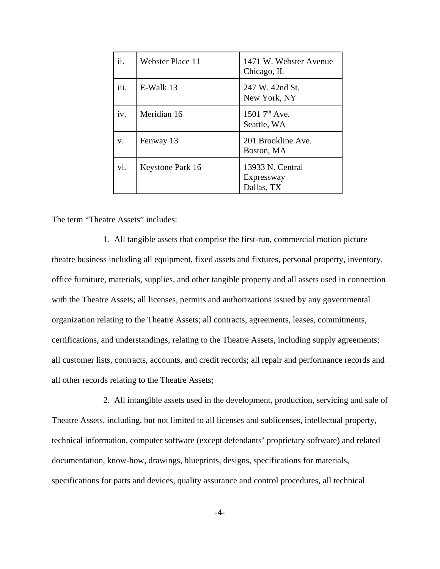| ii.         | <b>Webster Place 11</b> | 1471 W. Webster Avenue<br>Chicago, IL        |
|-------------|-------------------------|----------------------------------------------|
| iii.        | E-Walk 13               | 247 W. 42nd St.<br>New York, NY              |
| iv.         | Meridian 16             | 1501 $7^{\text{th}}$ Ave.<br>Seattle, WA     |
| $V_{\cdot}$ | Fenway 13               | 201 Brookline Ave.<br>Boston, MA             |
| vi.         | Keystone Park 16        | 13933 N. Central<br>Expressway<br>Dallas, TX |

The term "Theatre Assets" includes:

1. All tangible assets that comprise the first-run, commercial motion picture theatre business including all equipment, fixed assets and fixtures, personal property, inventory, office furniture, materials, supplies, and other tangible property and all assets used in connection with the Theatre Assets; all licenses, permits and authorizations issued by any governmental organization relating to the Theatre Assets; all contracts, agreements, leases, commitments, certifications, and understandings, relating to the Theatre Assets, including supply agreements; all customer lists, contracts, accounts, and credit records; all repair and performance records and all other records relating to the Theatre Assets;

2. All intangible assets used in the development, production, servicing and sale of Theatre Assets, including, but not limited to all licenses and sublicenses, intellectual property, technical information, computer software (except defendants' proprietary software) and related documentation, know-how, drawings, blueprints, designs, specifications for materials, specifications for parts and devices, quality assurance and control procedures, all technical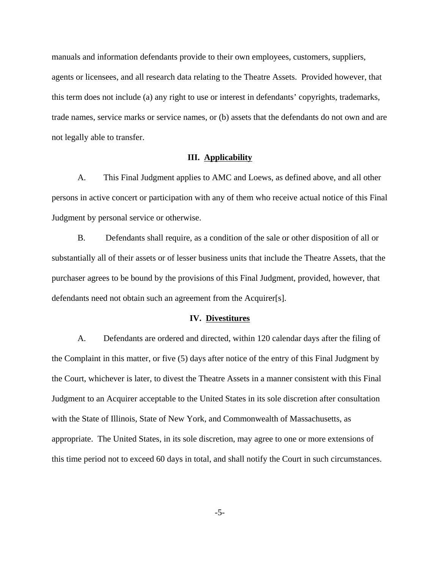manuals and information defendants provide to their own employees, customers, suppliers, agents or licensees, and all research data relating to the Theatre Assets. Provided however, that this term does not include (a) any right to use or interest in defendants' copyrights, trademarks, trade names, service marks or service names, or (b) assets that the defendants do not own and are not legally able to transfer.

### **III. Applicability**

A. This Final Judgment applies to AMC and Loews, as defined above, and all other persons in active concert or participation with any of them who receive actual notice of this Final Judgment by personal service or otherwise.

B. Defendants shall require, as a condition of the sale or other disposition of all or substantially all of their assets or of lesser business units that include the Theatre Assets, that the purchaser agrees to be bound by the provisions of this Final Judgment, provided, however, that defendants need not obtain such an agreement from the Acquirer[s].

#### **IV. Divestitures**

A. Defendants are ordered and directed, within 120 calendar days after the filing of the Complaint in this matter, or five (5) days after notice of the entry of this Final Judgment by the Court, whichever is later, to divest the Theatre Assets in a manner consistent with this Final Judgment to an Acquirer acceptable to the United States in its sole discretion after consultation with the State of Illinois, State of New York, and Commonwealth of Massachusetts, as appropriate. The United States, in its sole discretion, may agree to one or more extensions of this time period not to exceed 60 days in total, and shall notify the Court in such circumstances.

-5-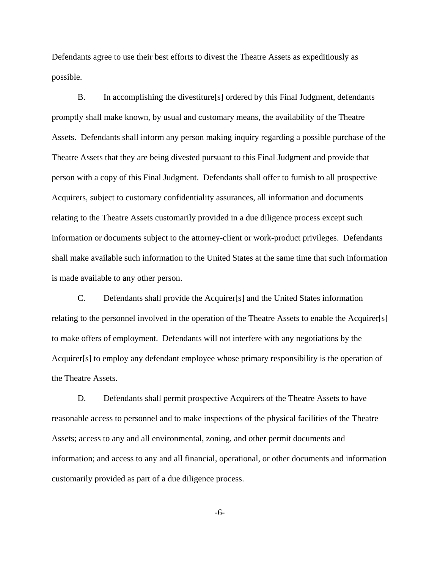Defendants agree to use their best efforts to divest the Theatre Assets as expeditiously as possible.

B. In accomplishing the divestiture[s] ordered by this Final Judgment, defendants promptly shall make known, by usual and customary means, the availability of the Theatre Assets. Defendants shall inform any person making inquiry regarding a possible purchase of the Theatre Assets that they are being divested pursuant to this Final Judgment and provide that person with a copy of this Final Judgment. Defendants shall offer to furnish to all prospective Acquirers, subject to customary confidentiality assurances, all information and documents relating to the Theatre Assets customarily provided in a due diligence process except such information or documents subject to the attorney-client or work-product privileges. Defendants shall make available such information to the United States at the same time that such information is made available to any other person.

C. Defendants shall provide the Acquirer[s] and the United States information relating to the personnel involved in the operation of the Theatre Assets to enable the Acquirer[s] to make offers of employment. Defendants will not interfere with any negotiations by the Acquirer[s] to employ any defendant employee whose primary responsibility is the operation of the Theatre Assets.

D. Defendants shall permit prospective Acquirers of the Theatre Assets to have reasonable access to personnel and to make inspections of the physical facilities of the Theatre Assets; access to any and all environmental, zoning, and other permit documents and information; and access to any and all financial, operational, or other documents and information customarily provided as part of a due diligence process.

-6-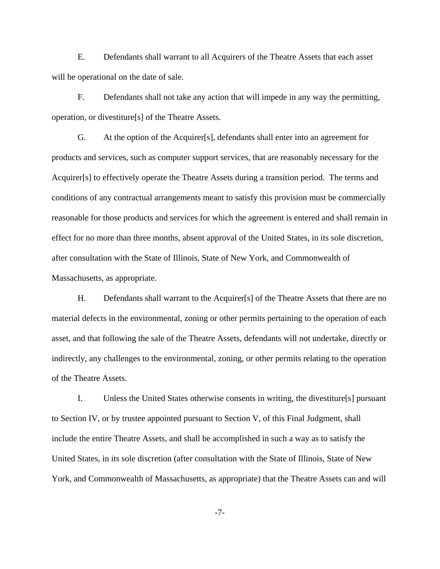E. Defendants shall warrant to all Acquirers of the Theatre Assets that each asset will be operational on the date of sale.

F. Defendants shall not take any action that will impede in any way the permitting, operation, or divestiture[s] of the Theatre Assets.

G. At the option of the Acquirer[s], defendants shall enter into an agreement for products and services, such as computer support services, that are reasonably necessary for the Acquirer[s] to effectively operate the Theatre Assets during a transition period. The terms and conditions of any contractual arrangements meant to satisfy this provision must be commercially reasonable for those products and services for which the agreement is entered and shall remain in effect for no more than three months, absent approval of the United States, in its sole discretion, after consultation with the State of Illinois, State of New York, and Commonwealth of Massachusetts, as appropriate.

H. Defendants shall warrant to the Acquirer[s] of the Theatre Assets that there are no material defects in the environmental, zoning or other permits pertaining to the operation of each asset, and that following the sale of the Theatre Assets, defendants will not undertake, directly or indirectly, any challenges to the environmental, zoning, or other permits relating to the operation of the Theatre Assets.

I. Unless the United States otherwise consents in writing, the divestiture[s] pursuant to Section IV, or by trustee appointed pursuant to Section V, of this Final Judgment, shall include the entire Theatre Assets, and shall be accomplished in such a way as to satisfy the United States, in its sole discretion (after consultation with the State of Illinois, State of New York, and Commonwealth of Massachusetts, as appropriate) that the Theatre Assets can and will

-7-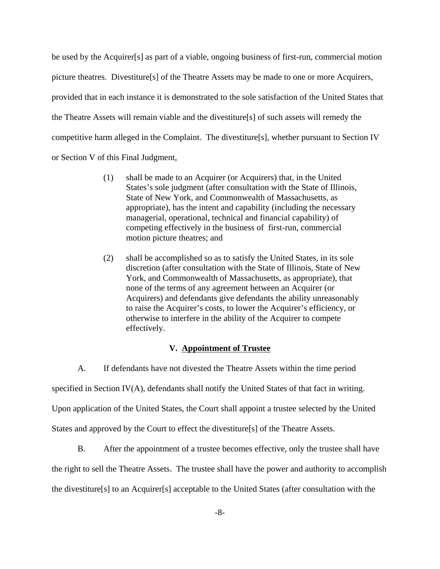be used by the Acquirer[s] as part of a viable, ongoing business of first-run, commercial motion picture theatres. Divestiture[s] of the Theatre Assets may be made to one or more Acquirers, provided that in each instance it is demonstrated to the sole satisfaction of the United States that the Theatre Assets will remain viable and the divestiture[s] of such assets will remedy the competitive harm alleged in the Complaint. The divestiture[s], whether pursuant to Section IV or Section V of this Final Judgment,

- (1) shall be made to an Acquirer (or Acquirers) that, in the United States's sole judgment (after consultation with the State of Illinois, State of New York, and Commonwealth of Massachusetts, as appropriate), has the intent and capability (including the necessary managerial, operational, technical and financial capability) of competing effectively in the business of first-run, commercial motion picture theatres; and
- (2) shall be accomplished so as to satisfy the United States, in its sole discretion (after consultation with the State of Illinois, State of New York, and Commonwealth of Massachusetts, as appropriate), that none of the terms of any agreement between an Acquirer (or Acquirers) and defendants give defendants the ability unreasonably to raise the Acquirer's costs, to lower the Acquirer's efficiency, or otherwise to interfere in the ability of the Acquirer to compete effectively.

### **V. Appointment of Trustee**

A. If defendants have not divested the Theatre Assets within the time period specified in Section IV(A), defendants shall notify the United States of that fact in writing. Upon application of the United States, the Court shall appoint a trustee selected by the United States and approved by the Court to effect the divestiture[s] of the Theatre Assets.

B. After the appointment of a trustee becomes effective, only the trustee shall have the right to sell the Theatre Assets. The trustee shall have the power and authority to accomplish the divestiture[s] to an Acquirer[s] acceptable to the United States (after consultation with the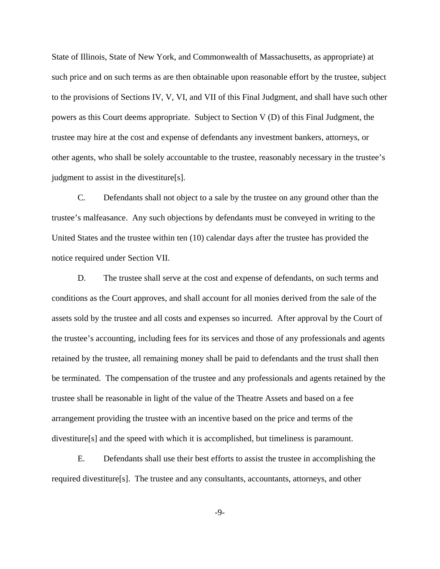State of Illinois, State of New York, and Commonwealth of Massachusetts, as appropriate) at such price and on such terms as are then obtainable upon reasonable effort by the trustee, subject to the provisions of Sections IV, V, VI, and VII of this Final Judgment, and shall have such other powers as this Court deems appropriate. Subject to Section V (D) of this Final Judgment, the trustee may hire at the cost and expense of defendants any investment bankers, attorneys, or other agents, who shall be solely accountable to the trustee, reasonably necessary in the trustee's judgment to assist in the divestiture[s].

C. Defendants shall not object to a sale by the trustee on any ground other than the trustee's malfeasance. Any such objections by defendants must be conveyed in writing to the United States and the trustee within ten (10) calendar days after the trustee has provided the notice required under Section VII.

D. The trustee shall serve at the cost and expense of defendants, on such terms and conditions as the Court approves, and shall account for all monies derived from the sale of the assets sold by the trustee and all costs and expenses so incurred. After approval by the Court of the trustee's accounting, including fees for its services and those of any professionals and agents retained by the trustee, all remaining money shall be paid to defendants and the trust shall then be terminated. The compensation of the trustee and any professionals and agents retained by the trustee shall be reasonable in light of the value of the Theatre Assets and based on a fee arrangement providing the trustee with an incentive based on the price and terms of the divestiture[s] and the speed with which it is accomplished, but timeliness is paramount.

E. Defendants shall use their best efforts to assist the trustee in accomplishing the required divestiture[s]. The trustee and any consultants, accountants, attorneys, and other

-9-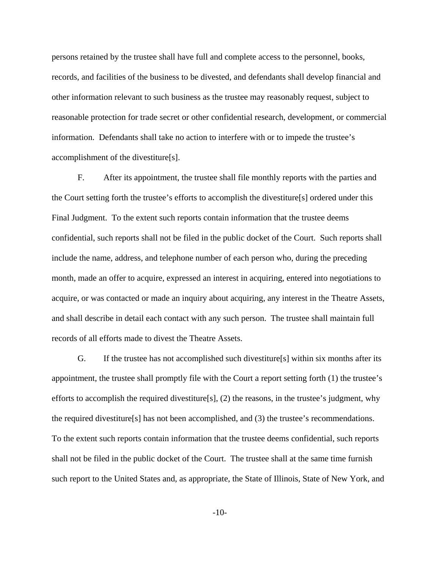persons retained by the trustee shall have full and complete access to the personnel, books, records, and facilities of the business to be divested, and defendants shall develop financial and other information relevant to such business as the trustee may reasonably request, subject to reasonable protection for trade secret or other confidential research, development, or commercial information. Defendants shall take no action to interfere with or to impede the trustee's accomplishment of the divestiture[s].

F. After its appointment, the trustee shall file monthly reports with the parties and the Court setting forth the trustee's efforts to accomplish the divestiture[s] ordered under this Final Judgment. To the extent such reports contain information that the trustee deems confidential, such reports shall not be filed in the public docket of the Court. Such reports shall include the name, address, and telephone number of each person who, during the preceding month, made an offer to acquire, expressed an interest in acquiring, entered into negotiations to acquire, or was contacted or made an inquiry about acquiring, any interest in the Theatre Assets, and shall describe in detail each contact with any such person. The trustee shall maintain full records of all efforts made to divest the Theatre Assets.

G. If the trustee has not accomplished such divestiture[s] within six months after its appointment, the trustee shall promptly file with the Court a report setting forth (1) the trustee's efforts to accomplish the required divestiture[s], (2) the reasons, in the trustee's judgment, why the required divestiture[s] has not been accomplished, and (3) the trustee's recommendations. To the extent such reports contain information that the trustee deems confidential, such reports shall not be filed in the public docket of the Court. The trustee shall at the same time furnish such report to the United States and, as appropriate, the State of Illinois, State of New York, and

-10-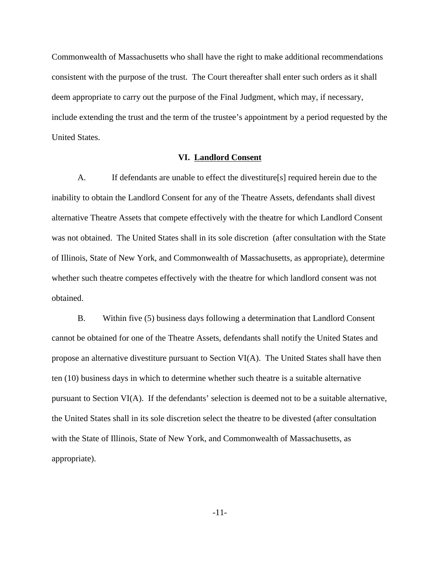Commonwealth of Massachusetts who shall have the right to make additional recommendations consistent with the purpose of the trust. The Court thereafter shall enter such orders as it shall deem appropriate to carry out the purpose of the Final Judgment, which may, if necessary, include extending the trust and the term of the trustee's appointment by a period requested by the United States.

#### **VI. Landlord Consent**

A. If defendants are unable to effect the divestiture[s] required herein due to the inability to obtain the Landlord Consent for any of the Theatre Assets, defendants shall divest alternative Theatre Assets that compete effectively with the theatre for which Landlord Consent was not obtained. The United States shall in its sole discretion (after consultation with the State of Illinois, State of New York, and Commonwealth of Massachusetts, as appropriate), determine whether such theatre competes effectively with the theatre for which landlord consent was not obtained.

B. Within five (5) business days following a determination that Landlord Consent cannot be obtained for one of the Theatre Assets, defendants shall notify the United States and propose an alternative divestiture pursuant to Section VI(A). The United States shall have then ten (10) business days in which to determine whether such theatre is a suitable alternative pursuant to Section VI(A). If the defendants' selection is deemed not to be a suitable alternative, the United States shall in its sole discretion select the theatre to be divested (after consultation with the State of Illinois, State of New York, and Commonwealth of Massachusetts, as appropriate).

-11-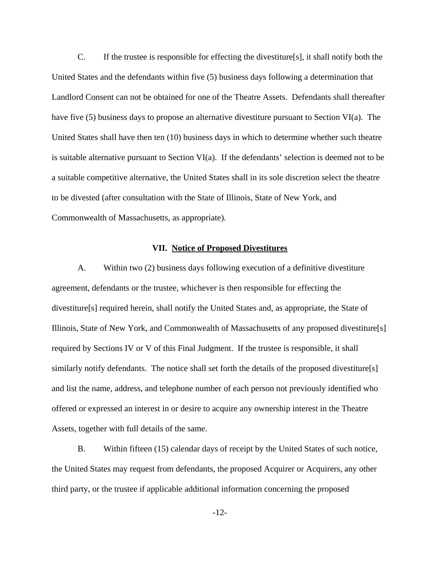C. If the trustee is responsible for effecting the divestiture[s], it shall notify both the United States and the defendants within five (5) business days following a determination that Landlord Consent can not be obtained for one of the Theatre Assets. Defendants shall thereafter have five (5) business days to propose an alternative divestiture pursuant to Section VI(a). The United States shall have then ten (10) business days in which to determine whether such theatre is suitable alternative pursuant to Section VI(a). If the defendants' selection is deemed not to be a suitable competitive alternative, the United States shall in its sole discretion select the theatre to be divested (after consultation with the State of Illinois, State of New York, and Commonwealth of Massachusetts, as appropriate).

#### **VII. Notice of Proposed Divestitures**

A. Within two (2) business days following execution of a definitive divestiture agreement, defendants or the trustee, whichever is then responsible for effecting the divestiture[s] required herein, shall notify the United States and, as appropriate, the State of Illinois, State of New York, and Commonwealth of Massachusetts of any proposed divestiture[s] required by Sections IV or V of this Final Judgment. If the trustee is responsible, it shall similarly notify defendants. The notice shall set forth the details of the proposed divestiture[s] and list the name, address, and telephone number of each person not previously identified who offered or expressed an interest in or desire to acquire any ownership interest in the Theatre Assets, together with full details of the same.

B. Within fifteen (15) calendar days of receipt by the United States of such notice, the United States may request from defendants, the proposed Acquirer or Acquirers, any other third party, or the trustee if applicable additional information concerning the proposed

-12-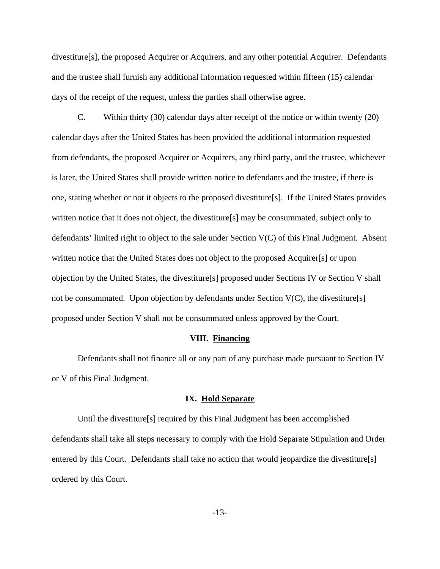divestiture[s], the proposed Acquirer or Acquirers, and any other potential Acquirer. Defendants and the trustee shall furnish any additional information requested within fifteen (15) calendar days of the receipt of the request, unless the parties shall otherwise agree.

C. Within thirty (30) calendar days after receipt of the notice or within twenty (20) calendar days after the United States has been provided the additional information requested from defendants, the proposed Acquirer or Acquirers, any third party, and the trustee, whichever is later, the United States shall provide written notice to defendants and the trustee, if there is one, stating whether or not it objects to the proposed divestiture[s]. If the United States provides written notice that it does not object, the divestiture[s] may be consummated, subject only to defendants' limited right to object to the sale under Section V(C) of this Final Judgment. Absent written notice that the United States does not object to the proposed Acquirer[s] or upon objection by the United States, the divestiture[s] proposed under Sections IV or Section V shall not be consummated. Upon objection by defendants under Section  $V(C)$ , the divestiture[s] proposed under Section V shall not be consummated unless approved by the Court.

#### **VIII. Financing**

Defendants shall not finance all or any part of any purchase made pursuant to Section IV or V of this Final Judgment.

## **IX. Hold Separate**

Until the divestiture[s] required by this Final Judgment has been accomplished defendants shall take all steps necessary to comply with the Hold Separate Stipulation and Order entered by this Court. Defendants shall take no action that would jeopardize the divestiture[s] ordered by this Court.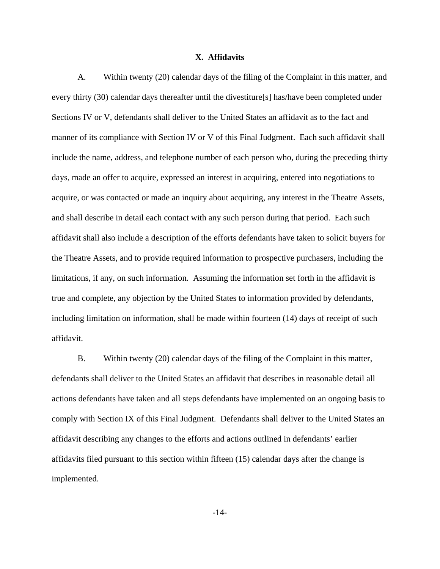#### **X. Affidavits**

A. Within twenty (20) calendar days of the filing of the Complaint in this matter, and every thirty (30) calendar days thereafter until the divestiture[s] has/have been completed under Sections IV or V, defendants shall deliver to the United States an affidavit as to the fact and manner of its compliance with Section IV or V of this Final Judgment. Each such affidavit shall include the name, address, and telephone number of each person who, during the preceding thirty days, made an offer to acquire, expressed an interest in acquiring, entered into negotiations to acquire, or was contacted or made an inquiry about acquiring, any interest in the Theatre Assets, and shall describe in detail each contact with any such person during that period. Each such affidavit shall also include a description of the efforts defendants have taken to solicit buyers for the Theatre Assets, and to provide required information to prospective purchasers, including the limitations, if any, on such information. Assuming the information set forth in the affidavit is true and complete, any objection by the United States to information provided by defendants, including limitation on information, shall be made within fourteen (14) days of receipt of such affidavit.

B. Within twenty (20) calendar days of the filing of the Complaint in this matter, defendants shall deliver to the United States an affidavit that describes in reasonable detail all actions defendants have taken and all steps defendants have implemented on an ongoing basis to comply with Section IX of this Final Judgment. Defendants shall deliver to the United States an affidavit describing any changes to the efforts and actions outlined in defendants' earlier affidavits filed pursuant to this section within fifteen (15) calendar days after the change is implemented.

-14-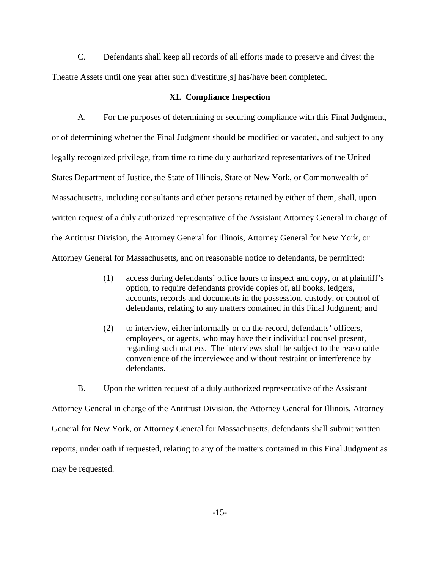C. Defendants shall keep all records of all efforts made to preserve and divest the Theatre Assets until one year after such divestiture[s] has/have been completed.

#### **XI. Compliance Inspection**

A. For the purposes of determining or securing compliance with this Final Judgment, or of determining whether the Final Judgment should be modified or vacated, and subject to any legally recognized privilege, from time to time duly authorized representatives of the United States Department of Justice, the State of Illinois, State of New York, or Commonwealth of Massachusetts, including consultants and other persons retained by either of them, shall, upon written request of a duly authorized representative of the Assistant Attorney General in charge of the Antitrust Division, the Attorney General for Illinois, Attorney General for New York, or Attorney General for Massachusetts, and on reasonable notice to defendants, be permitted:

- (1) access during defendants' office hours to inspect and copy, or at plaintiff's option, to require defendants provide copies of, all books, ledgers, accounts, records and documents in the possession, custody, or control of defendants, relating to any matters contained in this Final Judgment; and
- (2) to interview, either informally or on the record, defendants' officers, employees, or agents, who may have their individual counsel present, regarding such matters. The interviews shall be subject to the reasonable convenience of the interviewee and without restraint or interference by defendants.

B. Upon the written request of a duly authorized representative of the Assistant Attorney General in charge of the Antitrust Division, the Attorney General for Illinois, Attorney General for New York, or Attorney General for Massachusetts, defendants shall submit written reports, under oath if requested, relating to any of the matters contained in this Final Judgment as may be requested.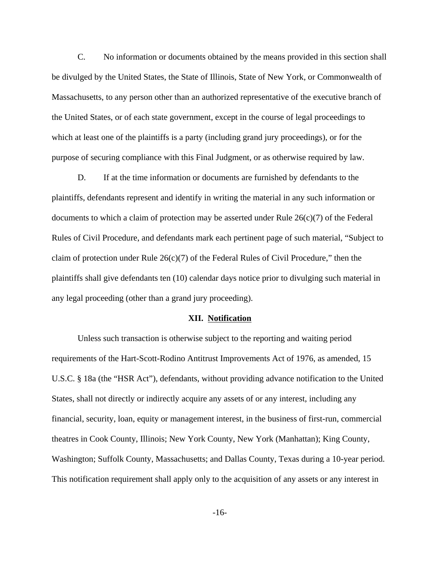C. No information or documents obtained by the means provided in this section shall be divulged by the United States, the State of Illinois, State of New York, or Commonwealth of Massachusetts, to any person other than an authorized representative of the executive branch of the United States, or of each state government, except in the course of legal proceedings to which at least one of the plaintiffs is a party (including grand jury proceedings), or for the purpose of securing compliance with this Final Judgment, or as otherwise required by law.

D. If at the time information or documents are furnished by defendants to the plaintiffs, defendants represent and identify in writing the material in any such information or documents to which a claim of protection may be asserted under Rule  $26(c)(7)$  of the Federal Rules of Civil Procedure, and defendants mark each pertinent page of such material, "Subject to claim of protection under Rule  $26(c)(7)$  of the Federal Rules of Civil Procedure," then the plaintiffs shall give defendants ten (10) calendar days notice prior to divulging such material in any legal proceeding (other than a grand jury proceeding).

#### **XII. Notification**

Unless such transaction is otherwise subject to the reporting and waiting period requirements of the Hart-Scott-Rodino Antitrust Improvements Act of 1976, as amended, 15 U.S.C. § 18a (the "HSR Act"), defendants, without providing advance notification to the United States, shall not directly or indirectly acquire any assets of or any interest, including any financial, security, loan, equity or management interest, in the business of first-run, commercial theatres in Cook County, Illinois; New York County, New York (Manhattan); King County, Washington; Suffolk County, Massachusetts; and Dallas County, Texas during a 10-year period. This notification requirement shall apply only to the acquisition of any assets or any interest in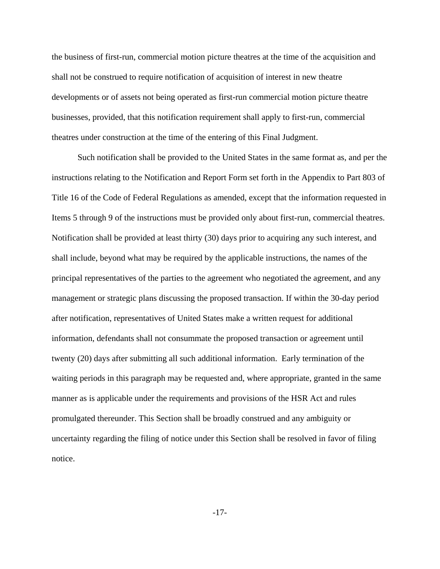the business of first-run, commercial motion picture theatres at the time of the acquisition and shall not be construed to require notification of acquisition of interest in new theatre developments or of assets not being operated as first-run commercial motion picture theatre businesses, provided, that this notification requirement shall apply to first-run, commercial theatres under construction at the time of the entering of this Final Judgment.

Such notification shall be provided to the United States in the same format as, and per the instructions relating to the Notification and Report Form set forth in the Appendix to Part 803 of Title 16 of the Code of Federal Regulations as amended, except that the information requested in Items 5 through 9 of the instructions must be provided only about first-run, commercial theatres. Notification shall be provided at least thirty (30) days prior to acquiring any such interest, and shall include, beyond what may be required by the applicable instructions, the names of the principal representatives of the parties to the agreement who negotiated the agreement, and any management or strategic plans discussing the proposed transaction. If within the 30-day period after notification, representatives of United States make a written request for additional information, defendants shall not consummate the proposed transaction or agreement until twenty (20) days after submitting all such additional information. Early termination of the waiting periods in this paragraph may be requested and, where appropriate, granted in the same manner as is applicable under the requirements and provisions of the HSR Act and rules promulgated thereunder. This Section shall be broadly construed and any ambiguity or uncertainty regarding the filing of notice under this Section shall be resolved in favor of filing notice.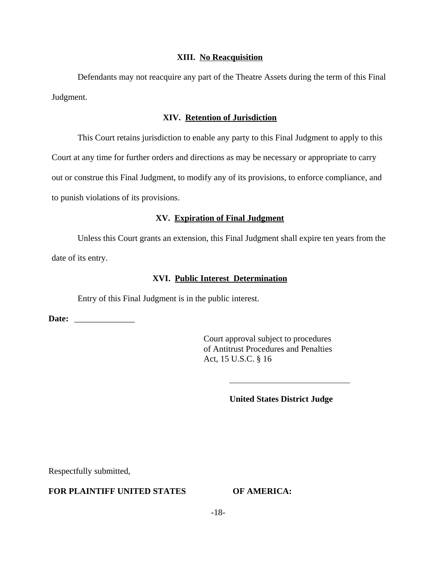#### **XIII. No Reacquisition**

Defendants may not reacquire any part of the Theatre Assets during the term of this Final Judgment.

#### **XIV. Retention of Jurisdiction**

This Court retains jurisdiction to enable any party to this Final Judgment to apply to this Court at any time for further orders and directions as may be necessary or appropriate to carry out or construe this Final Judgment, to modify any of its provisions, to enforce compliance, and to punish violations of its provisions.

# **XV. Expiration of Final Judgment**

Unless this Court grants an extension, this Final Judgment shall expire ten years from the date of its entry.

## **XVI. Public Interest Determination**

 $\overline{a}$ 

Entry of this Final Judgment is in the public interest.

**Date:** \_\_\_\_\_\_\_\_\_\_\_\_\_\_

Court approval subject to procedures of Antitrust Procedures and Penalties Act, 15 U.S.C. § 16

## **United States District Judge**

Respectfully submitted,

# **FOR PLAINTIFF UNITED STATES OF AMERICA:**

-18-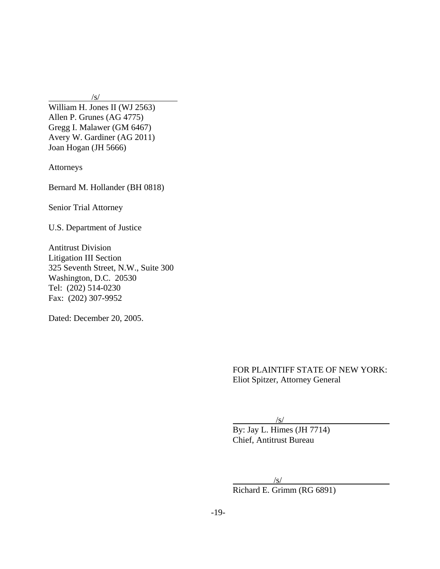$/s/$ 

William H. Jones II (WJ 2563) Allen P. Grunes (AG 4775) Gregg I. Malawer (GM 6467) Avery W. Gardiner (AG 2011) Joan Hogan (JH 5666)

Attorneys

Bernard M. Hollander (BH 0818)

Senior Trial Attorney

U.S. Department of Justice

Antitrust Division Litigation III Section 325 Seventh Street, N.W., Suite 300 Washington, D.C. 20530 Tel: (202) 514-0230 Fax: (202) 307-9952

Dated: December 20, 2005.

FOR PLAINTIFF STATE OF NEW YORK: Eliot Spitzer, Attorney General

 $/s/$ 

By: Jay L. Himes (JH 7714) Chief, Antitrust Bureau

 $/s/$ 

Richard E. Grimm (RG 6891)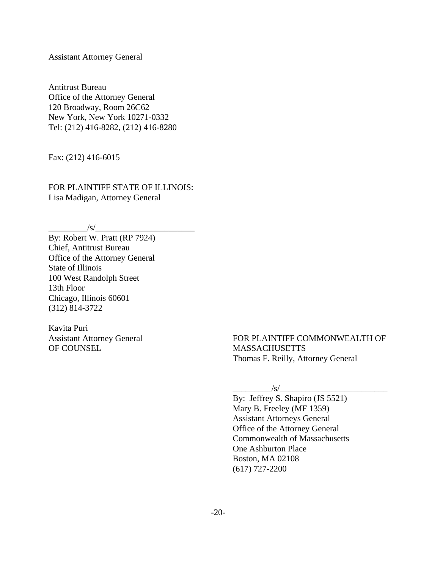Assistant Attorney General

Antitrust Bureau Office of the Attorney General 120 Broadway, Room 26C62 New York, New York 10271-0332 Tel: (212) 416-8282, (212) 416-8280

Fax: (212) 416-6015

FOR PLAINTIFF STATE OF ILLINOIS: Lisa Madigan, Attorney General

 $\sqrt{s/2}$ 

By: Robert W. Pratt (RP 7924) Chief, Antitrust Bureau Office of the Attorney General State of Illinois 100 West Randolph Street 13th Floor Chicago, Illinois 60601 (312) 814-3722

Kavita Puri Assistant Attorney General OF COUNSEL

FOR PLAINTIFF COMMONWEALTH OF **MASSACHUSETTS** Thomas F. Reilly, Attorney General

 $/s/$ 

By: Jeffrey S. Shapiro (JS 5521) Mary B. Freeley (MF 1359) Assistant Attorneys General Office of the Attorney General Commonwealth of Massachusetts One Ashburton Place Boston, MA 02108 (617) 727-2200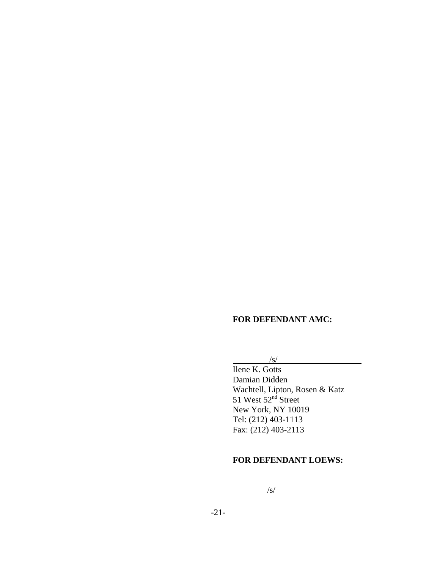## **FOR DEFENDANT AMC:**

#### $\sqrt{s/}$

Ilene K. Gotts Damian Didden Wachtell, Lipton, Rosen & Katz 51 West 52<sup>nd</sup> Street New York, NY 10019 Tel: (212) 403-1113 Fax: (212) 403-2113

# **FOR DEFENDANT LOEWS:**

 $\sqrt{s/2}$